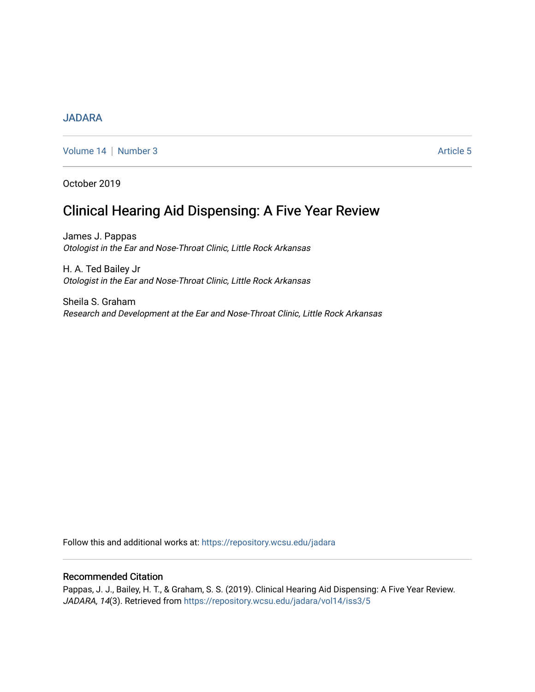# [JADARA](https://repository.wcsu.edu/jadara)

[Volume 14](https://repository.wcsu.edu/jadara/vol14) | [Number 3](https://repository.wcsu.edu/jadara/vol14/iss3) Article 5

October 2019

# Clinical Hearing Aid Dispensing: A Five Year Review

James J. Pappas Otologist in the Ear and Nose-Throat Clinic, Little Rock Arkansas

H. A. Ted Bailey Jr Otologist in the Ear and Nose-Throat Clinic, Little Rock Arkansas

Sheila S. Graham Research and Development at the Ear and Nose-Throat Clinic, Little Rock Arkansas

Follow this and additional works at: [https://repository.wcsu.edu/jadara](https://repository.wcsu.edu/jadara?utm_source=repository.wcsu.edu%2Fjadara%2Fvol14%2Fiss3%2F5&utm_medium=PDF&utm_campaign=PDFCoverPages)

# Recommended Citation

Pappas, J. J., Bailey, H. T., & Graham, S. S. (2019). Clinical Hearing Aid Dispensing: A Five Year Review. JADARA, 14(3). Retrieved from [https://repository.wcsu.edu/jadara/vol14/iss3/5](https://repository.wcsu.edu/jadara/vol14/iss3/5?utm_source=repository.wcsu.edu%2Fjadara%2Fvol14%2Fiss3%2F5&utm_medium=PDF&utm_campaign=PDFCoverPages)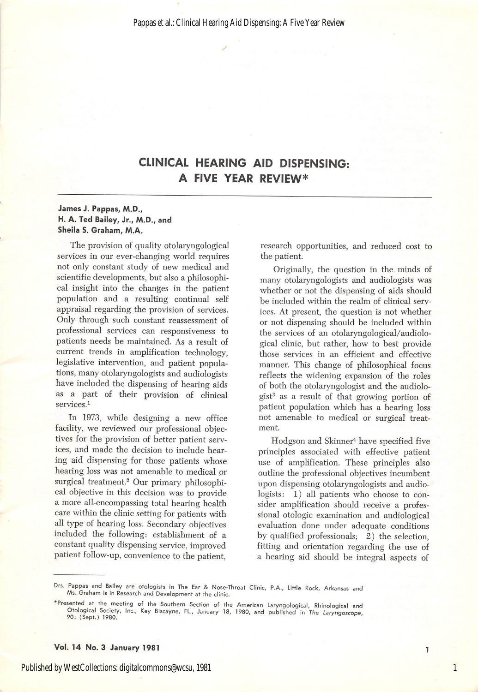# CLINICAL HEARING AID DISPENSING: A FIVE YEAR REVIEW\*

#### James J. Pappas, M.D., H. A. Ted Bailey, Jr., M.D., and Sheila S. Graham, M.A.

The provision of quality otolaryngological services in our ever-changing world requires not only constant study of new medical and scientific developments, but also a philosophi cal insight into the changes in the patient population and a resulting continual self appraisal regarding the provision of services. Only through such constant reassessment of professional services can responsiveness to patients needs be maintained. As a result of current trends in amplification technology, legislative intervention, and patient popula tions, many otolaryngologists and audiologists have included the dispensing of hearing aids as a part of their provision of clinical services.<sup>1</sup>

In 1973, while designing a new office facility, we reviewed our professional objec tives for the provision of better patient serv ices, and made the decision to include hear ing aid dispensing for those patients whose hearing loss was not amenable to medical or surgical treatment.<sup>2</sup> Our primary philosophical objective in this decision was to provide a more all-encompassing total hearing health care within the clinic setting for patients with all type of hearing loss. Secondary objectives included the following: establishment of a constant quality dispensing service, improved patient follow-up, convenience to the patient.

research opportunities, and reduced cost to the patient.

Originally, the question in the minds of many otolaryngologists and audiologists was whether or not the dispensing of aids should be included within the realm of clinical serv ices. At present, the question is not whether or not dispensing should be included within the services of an otolaryngological/audiological clinic, but rather, how to best provide those services in an efficient and effective manner. This change of philosophical focus reflects the widening expansion of the roles of both the otolaryngologist and the audiolo gist<sup>3</sup> as a result of that growing portion of patient population which has a hearing loss not amenable to medical or surgical treat ment.

Hodgson and Skinner^ have specified five principles associated with effective patient use of amplification. These principles also outline the professional objectives incumbent upon dispensing otolaryngologists and audio logists: 1) all patients who choose to consider amplification should receive a profes sional otologic examination and audiological evaluation done under adequate conditions by qualified professionals; 2) the selection, fitting and orientation regarding the use of a hearing aid should be integral aspects of

1

Vol. 14 No. 3 January 1981

Drs. Pappas and Bailey are otologists in The Ear & Nose-Throat Clinic, P.A., Little Rock, Arkansas and Ms. Graham is in Research and Development at the clinic.

<sup>\*</sup>Presented at the meeting of the Southern Section of the American Laryngological, Rhinological and Otologicai Society, inc., Key Biscayne, FL., January 18, 1980, and published in The Laryngoscope, 90; (Sept.) 1980.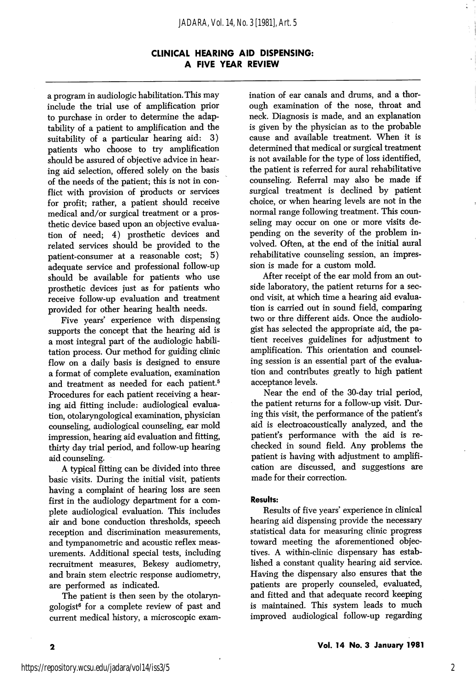# CLINICAL HEARING AID DISPENSING: A FIVE YEAR REVIEW

a program in audiologic habilitation. This may include the trial use of amplification prior to purchase in order to determine the adap tability of a patient to amplification and the suitability of a particular hearing aid: 3) patients who choose to try amplification should be assured of objective advice in hear ing aid selection, offered solely on the basis of the needs of the patient; this is not in con flict with provision of products or services for profit; rather, a patient should receive medical and/or surgical treatment or a pros thetic device based upon an objective evalua tion of need; 4) prosthetic devices and related services should be provided to the patient-consumer at a reasonable cost; 5) adequate service and professional follow-up should be available for patients who use prosthetic devices just as for patients who receive follow-up evaluation and treatment provided for other hearing health needs.

Five years' experience with dispensing supports the concept that the hearing aid is a most integral part of the audiologic habili tation process. Our method for guiding clinic flow on a daily basis is designed to ensure a format of complete evaluation, examination and treatment as needed for each patient.<sup>5</sup> Procedures for each patient receiving a hear ing aid fitting include: audiological evalua tion, otolaryngological examination, physician counseling, audiological counseling, ear mold impression, hearing aid evaluation and fitting, thirty day trial period, and follow-up hearing aid counseling.

A typical fitting can be divided into three basic visits. During the initial visit, patients having a complaint of hearing loss are seen first in the audiology department for a com plete audiological evaluation. This includes air and bone conduction thresholds, speech reception and discrimination measurements, and tympanometric and acoustic reflex meas urements. Additional special tests, including recruitment measures, Bekesy audiometry, and brain stem electric response audiometry, are performed as indicated.

The patient is then seen by the otolaryngologist® for a complete review of past and current medical history, a microscopic exam ination of ear canals and drums, and a thor ough examination of the nose, throat and neck. Diagnosis is made, and an explanation is given by the physician as to the probable cause and available treatment. When it is determined that medical or surgical treatment is not available for the type of loss identified, the patient is referred for aural rehabilitative counseling. Referral may also be made if surgical treatment is declined by patient choice, or when hearing levels are not in the normal range following treatment. This coun seling may occur on one or more visits de pending on the severity of the problem in volved. Often, at the end of the initial aural rehabilitative counseling session, an impres sion is made for a custom mold.

After receipt of the ear mold from an out side laboratory, the patient returns for a sec ond visit, at which time a hearing aid evalua tion is carried out in sound field, comparing two or thre different aids. Once the audiologist has selected the appropriate aid, the pa tient receives guidelines for adjustment to amplification. This orientation and counsel ing session is an essential part of the evalua tion and contributes greatly to high patient acceptance levels.

Near the end of the 30-day trial period, the patient returns for a follow-up visit. Dur ing this visit, the performance of the patient's aid is electroacoustically analyzed, and the patient's performance with the aid is rechecked in sound field. Any problems the patient is having with adjustment to amplifi cation are discussed, and suggestions are made for their correction.

#### Results:

Results of five years' experience in clinical hearing aid dispensing provide the necessary statistical data for measuring clinic progress toward meeting the aforementioned objec tives. A within-clinic dispensary has estab lished a constant quality hearing aid service. Having the dispensary also ensures that the patients are properly counseled, evaluated, and fitted and that adequate record keeping is maintained. This system leads to much improved audiological follow-up regarding

 $\overline{\mathbf{2}}$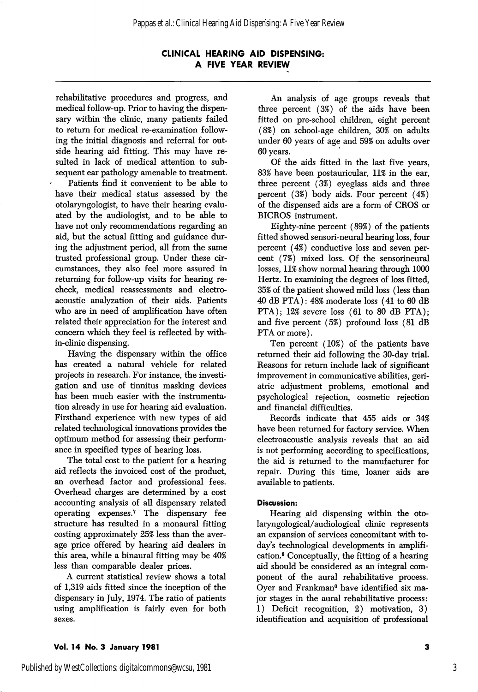# CLINICAL HEARING AID DISPENSING: A FIVE YEAR REVIEW

rehabilitative procedures and progress, and medical follow-up. Prior to having the dispen sary within the clinic, many patients failed to return for medical re-examination follow ing the initial diagnosis and referral for out side hearing aid fitting. This may have re sulted in lack of medical attention to sub sequent ear pathology amenable to treatment.

Patients find it convenient to be able to have their medical status assessed by the otolaryngologist, to have their hearing evalu ated by the audiologist, and to be able to have not only recommendations regarding an aid, but the actual fitting and guidance dur ing the adjustment period, all from the same trusted professional group. Under these cir cumstances, they also feel more assured in returning for follow-up visits for hearing recheck, medical reassessments and electroacoustic analyzation of their aids. Patients who are in need of amplification have often related their appreciation for the interest and concern which they feel is reflected by within-clinic dispensing.

Having the dispensary within the office has created a natural vehicle for related projects in research. For instance, the investi gation and use of tinnitus masking devices has been much easier with the instrumenta tion already in use for hearing aid evaluation. Firsthand experience with new types of aid related technological innovations provides the optimum method for assessing their perform ance in specified types of hearing loss.

The total cost to the patient for a hearing aid reflects the invoiced cost of the product, an overhead factor and professional fees. Overhead charges are determined by a cost accounting analysis of all dispensary related operating expenses.'' The dispensary fee structure has resulted in a monaural fitting costing approximately 25% less than the aver age price offered by hearing aid dealers in this area, while a binaural fitting may be 40% less than comparable dealer prices.

A current statistical review shows a total of 1,319 aids fitted since the inception of the dispensary in July, 1974. The ratio of patients using amplification is fairly even for both sexes.

An analysis of age groups reveals that three percent (3%) of the aids have been fitted on pre-school children, eight percent (8%) on school-age children, 30% on adults under 60 years of age and 59% on adults over 60 years.

Of the aids fitted in the last five years, 83% have been postauricular, 11% in the ear, three percent (3%) eyeglass aids and three percent (3%) body aids. Four percent (4%) of the dispensed aids are a form of CROS or BICROS instrument.

Eighty-nine percent (89%) of the patients fitted showed sensori-neural hearing loss, four percent (4%) conductive loss and seven per cent (7%) mixed loss. Of the sensorineural losses, 11% show normal hearing through 1000 Hertz. In examining the degrees of loss fitted, 35% of the patient showed mild loss (less than 40 dB PTA): 48% moderate loss (41 to 60 dB PTA); 12% severe loss (61 to 80 dB PTA); and five percent (5%) profound loss (81 dB PTA or more).

Ten percent (10%) of the patients have returned their aid following the 30-day trial. Reasons for return include lack of significant improvement in communicative abilities, geri atric adjustment problems, emotional and psychological rejection, cosmetic rejection and financial difficulties.

Records indicate that 455 aids or 34% have been returned for factory service. When electroacoustic analysis reveals that an aid is not performing according to specifications, the aid is returned to the manufacturer for repair. During this time, loaner aids are available to patients.

#### Discussion:

Hearing aid dispensing within the otolaryngological/audiological clinic represents an expansion of services concomitant with to day's technological developments in amplifi cation.® Conceptually, the fitting of a hearing aid should be considered as an integral com ponent of the aural rehabilitative process. Oyer and Frankman® have identified six ma jor stages in the aural rehabilitative process: 1) Deficit recognition, 2) motivation, 3) identification and acquisition of professional

#### Vol. 14 No. 3 January 1981

3